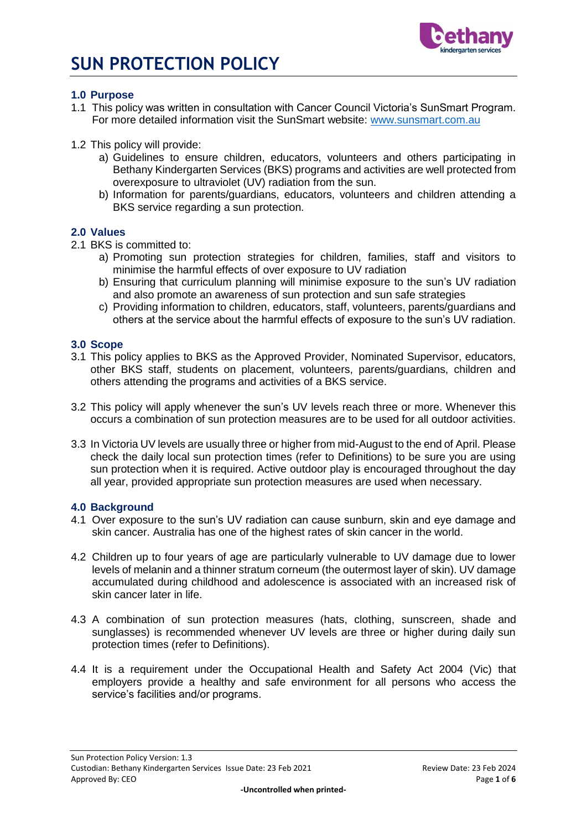

### **1.0 Purpose**

- 1.1 This policy was written in consultation with Cancer Council Victoria's SunSmart Program. For more detailed information visit the SunSmart website: [www.sunsmart.com.au](http://www.sunsmart.com.au/)
- 1.2 This policy will provide:
	- a) Guidelines to ensure children, educators, volunteers and others participating in Bethany Kindergarten Services (BKS) programs and activities are well protected from overexposure to ultraviolet (UV) radiation from the sun.
	- b) Information for parents/guardians, educators, volunteers and children attending a BKS service regarding a sun protection.

#### **2.0 Values**

- 2.1 BKS is committed to:
	- a) Promoting sun protection strategies for children, families, staff and visitors to minimise the harmful effects of over exposure to UV radiation
	- b) Ensuring that curriculum planning will minimise exposure to the sun's UV radiation and also promote an awareness of sun protection and sun safe strategies
	- c) Providing information to children, educators, staff, volunteers, parents/guardians and others at the service about the harmful effects of exposure to the sun's UV radiation.

#### **3.0 Scope**

- 3.1 This policy applies to BKS as the Approved Provider, Nominated Supervisor, educators, other BKS staff, students on placement, volunteers, parents/guardians, children and others attending the programs and activities of a BKS service.
- 3.2 This policy will apply whenever the sun's UV levels reach three or more. Whenever this occurs a combination of sun protection measures are to be used for all outdoor activities.
- 3.3 In Victoria UV levels are usually three or higher from mid-August to the end of April. Please check the daily local sun protection times (refer to Definitions) to be sure you are using sun protection when it is required. Active outdoor play is encouraged throughout the day all year, provided appropriate sun protection measures are used when necessary.

#### **4.0 Background**

- 4.1 Over exposure to the sun's UV radiation can cause sunburn, skin and eye damage and skin cancer. Australia has one of the highest rates of skin cancer in the world.
- 4.2 Children up to four years of age are particularly vulnerable to UV damage due to lower levels of melanin and a thinner stratum corneum (the outermost layer of skin). UV damage accumulated during childhood and adolescence is associated with an increased risk of skin cancer later in life.
- 4.3 A combination of sun protection measures (hats, clothing, sunscreen, shade and sunglasses) is recommended whenever UV levels are three or higher during daily sun protection times (refer to Definitions).
- 4.4 It is a requirement under the Occupational Health and Safety Act 2004 (Vic) that employers provide a healthy and safe environment for all persons who access the service's facilities and/or programs.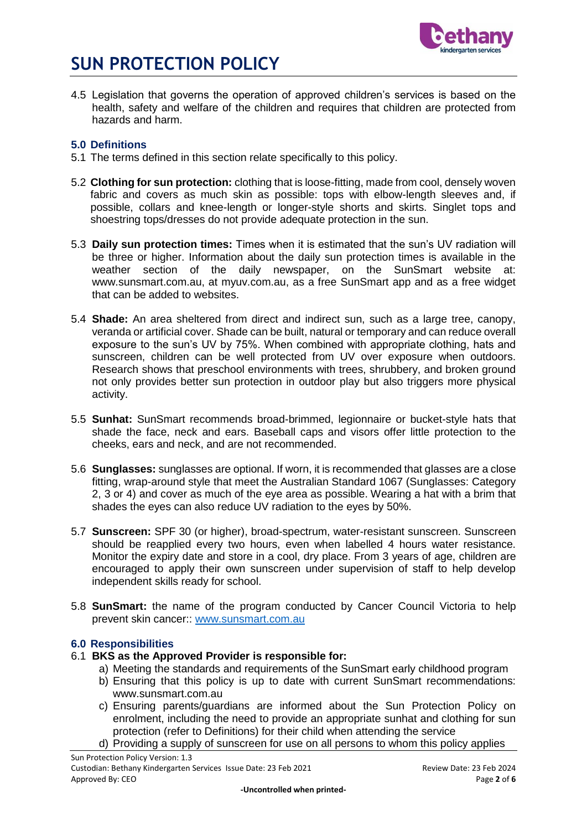

4.5 Legislation that governs the operation of approved children's services is based on the health, safety and welfare of the children and requires that children are protected from hazards and harm.

## **5.0 Definitions**

- 5.1 The terms defined in this section relate specifically to this policy.
- 5.2 **Clothing for sun protection:** clothing that is loose-fitting, made from cool, densely woven fabric and covers as much skin as possible: tops with elbow-length sleeves and, if possible, collars and knee-length or longer-style shorts and skirts. Singlet tops and shoestring tops/dresses do not provide adequate protection in the sun.
- 5.3 **Daily sun protection times:** Times when it is estimated that the sun's UV radiation will be three or higher. Information about the daily sun protection times is available in the weather section of the daily newspaper, on the SunSmart website at: www.sunsmart.com.au, at myuv.com.au, as a free SunSmart app and as a free widget that can be added to websites.
- 5.4 **Shade:** An area sheltered from direct and indirect sun, such as a large tree, canopy, veranda or artificial cover. Shade can be built, natural or temporary and can reduce overall exposure to the sun's UV by 75%. When combined with appropriate clothing, hats and sunscreen, children can be well protected from UV over exposure when outdoors. Research shows that preschool environments with trees, shrubbery, and broken ground not only provides better sun protection in outdoor play but also triggers more physical activity.
- 5.5 **Sunhat:** SunSmart recommends broad-brimmed, legionnaire or bucket-style hats that shade the face, neck and ears. Baseball caps and visors offer little protection to the cheeks, ears and neck, and are not recommended.
- 5.6 **Sunglasses:** sunglasses are optional. If worn, it is recommended that glasses are a close fitting, wrap-around style that meet the Australian Standard 1067 (Sunglasses: Category 2, 3 or 4) and cover as much of the eye area as possible. Wearing a hat with a brim that shades the eyes can also reduce UV radiation to the eyes by 50%.
- 5.7 **Sunscreen:** SPF 30 (or higher), broad-spectrum, water-resistant sunscreen. Sunscreen should be reapplied every two hours, even when labelled 4 hours water resistance. Monitor the expiry date and store in a cool, dry place. From 3 years of age, children are encouraged to apply their own sunscreen under supervision of staff to help develop independent skills ready for school.
- 5.8 **SunSmart:** the name of the program conducted by Cancer Council Victoria to help prevent skin cancer:: [www.sunsmart.com.au](http://www.sunsmart.com.au/)

## **6.0 Responsibilities**

#### 6.1 **BKS as the Approved Provider is responsible for:**

- a) Meeting the standards and requirements of the SunSmart early childhood program
- b) Ensuring that this policy is up to date with current SunSmart recommendations: www.sunsmart.com.au
- c) Ensuring parents/guardians are informed about the Sun Protection Policy on enrolment, including the need to provide an appropriate sunhat and clothing for sun protection (refer to Definitions) for their child when attending the service
- d) Providing a supply of sunscreen for use on all persons to whom this policy applies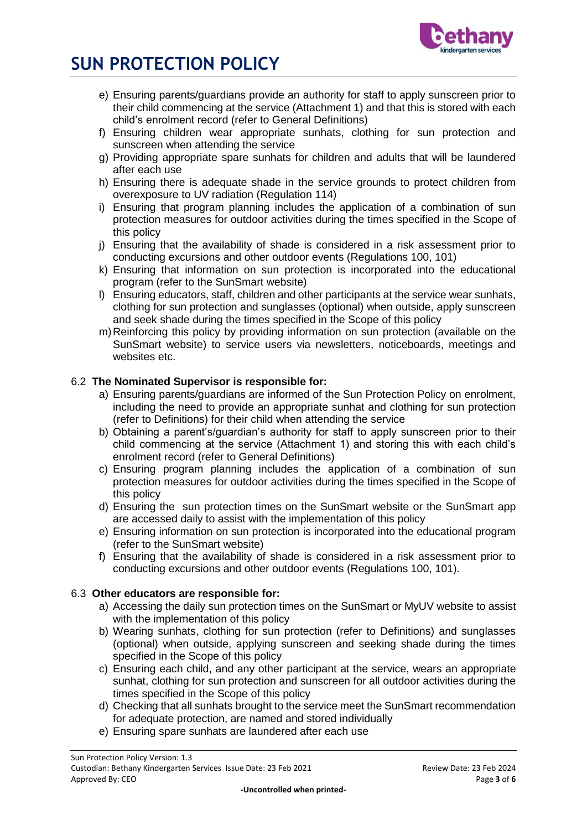

- e) Ensuring parents/guardians provide an authority for staff to apply sunscreen prior to their child commencing at the service (Attachment 1) and that this is stored with each child's enrolment record (refer to General Definitions)
- f) Ensuring children wear appropriate sunhats, clothing for sun protection and sunscreen when attending the service
- g) Providing appropriate spare sunhats for children and adults that will be laundered after each use
- h) Ensuring there is adequate shade in the service grounds to protect children from overexposure to UV radiation (Regulation 114)
- i) Ensuring that program planning includes the application of a combination of sun protection measures for outdoor activities during the times specified in the Scope of this policy
- j) Ensuring that the availability of shade is considered in a risk assessment prior to conducting excursions and other outdoor events (Regulations 100, 101)
- k) Ensuring that information on sun protection is incorporated into the educational program (refer to the SunSmart website)
- l) Ensuring educators, staff, children and other participants at the service wear sunhats, clothing for sun protection and sunglasses (optional) when outside, apply sunscreen and seek shade during the times specified in the Scope of this policy
- m)Reinforcing this policy by providing information on sun protection (available on the SunSmart website) to service users via newsletters, noticeboards, meetings and websites etc.

### 6.2 **The Nominated Supervisor is responsible for:**

- a) Ensuring parents/guardians are informed of the Sun Protection Policy on enrolment, including the need to provide an appropriate sunhat and clothing for sun protection (refer to Definitions) for their child when attending the service
- b) Obtaining a parent's/guardian's authority for staff to apply sunscreen prior to their child commencing at the service (Attachment 1) and storing this with each child's enrolment record (refer to General Definitions)
- c) Ensuring program planning includes the application of a combination of sun protection measures for outdoor activities during the times specified in the Scope of this policy
- d) Ensuring the sun protection times on the SunSmart website or the SunSmart app are accessed daily to assist with the implementation of this policy
- e) Ensuring information on sun protection is incorporated into the educational program (refer to the SunSmart website)
- f) Ensuring that the availability of shade is considered in a risk assessment prior to conducting excursions and other outdoor events (Regulations 100, 101).

#### 6.3 **Other educators are responsible for:**

- a) Accessing the daily sun protection times on the SunSmart or MyUV website to assist with the implementation of this policy
- b) Wearing sunhats, clothing for sun protection (refer to Definitions) and sunglasses (optional) when outside, applying sunscreen and seeking shade during the times specified in the Scope of this policy
- c) Ensuring each child, and any other participant at the service, wears an appropriate sunhat, clothing for sun protection and sunscreen for all outdoor activities during the times specified in the Scope of this policy
- d) Checking that all sunhats brought to the service meet the SunSmart recommendation for adequate protection, are named and stored individually
- e) Ensuring spare sunhats are laundered after each use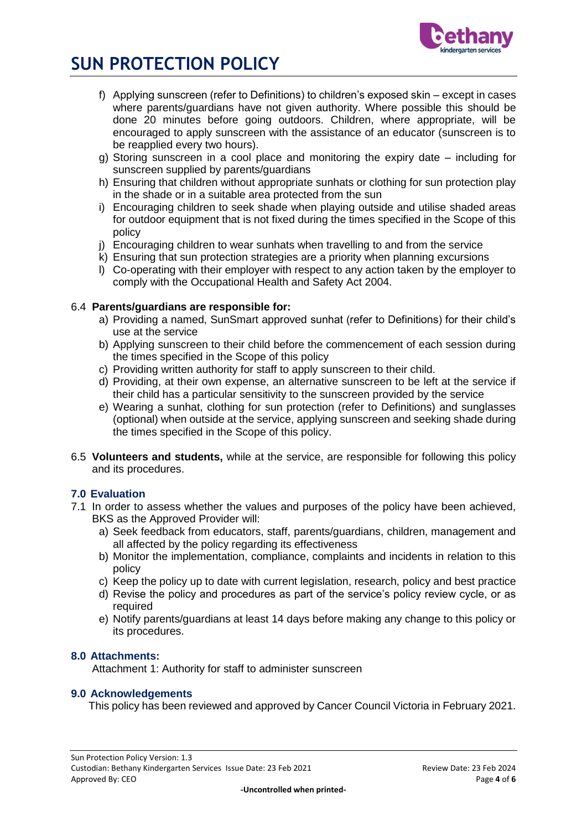

- f) Applying sunscreen (refer to Definitions) to children's exposed skin except in cases where parents/guardians have not given authority. Where possible this should be done 20 minutes before going outdoors. Children, where appropriate, will be encouraged to apply sunscreen with the assistance of an educator (sunscreen is to be reapplied every two hours).
- g) Storing sunscreen in a cool place and monitoring the expiry date including for sunscreen supplied by parents/guardians
- h) Ensuring that children without appropriate sunhats or clothing for sun protection play in the shade or in a suitable area protected from the sun
- i) Encouraging children to seek shade when playing outside and utilise shaded areas for outdoor equipment that is not fixed during the times specified in the Scope of this policy
- j) Encouraging children to wear sunhats when travelling to and from the service
- k) Ensuring that sun protection strategies are a priority when planning excursions
- l) Co-operating with their employer with respect to any action taken by the employer to comply with the Occupational Health and Safety Act 2004.

#### 6.4 **Parents/guardians are responsible for:**

- a) Providing a named, SunSmart approved sunhat (refer to Definitions) for their child's use at the service
- b) Applying sunscreen to their child before the commencement of each session during the times specified in the Scope of this policy
- c) Providing written authority for staff to apply sunscreen to their child.
- d) Providing, at their own expense, an alternative sunscreen to be left at the service if their child has a particular sensitivity to the sunscreen provided by the service
- e) Wearing a sunhat, clothing for sun protection (refer to Definitions) and sunglasses (optional) when outside at the service, applying sunscreen and seeking shade during the times specified in the Scope of this policy.
- 6.5 **Volunteers and students,** while at the service, are responsible for following this policy and its procedures.

#### **7.0 Evaluation**

- 7.1 In order to assess whether the values and purposes of the policy have been achieved, BKS as the Approved Provider will:
	- a) Seek feedback from educators, staff, parents/guardians, children, management and all affected by the policy regarding its effectiveness
	- b) Monitor the implementation, compliance, complaints and incidents in relation to this policy
	- c) Keep the policy up to date with current legislation, research, policy and best practice
	- d) Revise the policy and procedures as part of the service's policy review cycle, or as required
	- e) Notify parents/guardians at least 14 days before making any change to this policy or its procedures.

#### **8.0 Attachments:**

Attachment 1: Authority for staff to administer sunscreen

#### **9.0 Acknowledgements**

This policy has been reviewed and approved by Cancer Council Victoria in February 2021.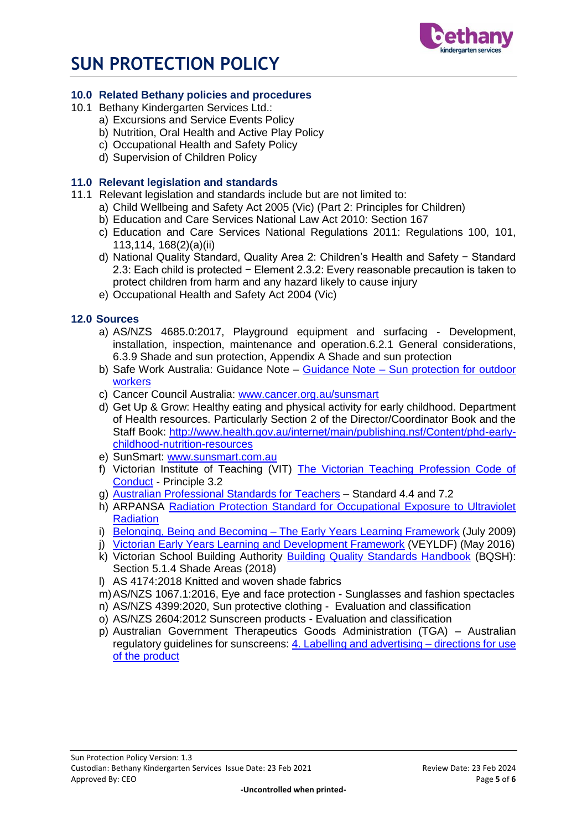

### **10.0 Related Bethany policies and procedures**

- 10.1 Bethany Kindergarten Services Ltd.:
	- a) Excursions and Service Events Policy
	- b) Nutrition, Oral Health and Active Play Policy
	- c) Occupational Health and Safety Policy
	- d) Supervision of Children Policy

### **11.0 Relevant legislation and standards**

- 11.1 Relevant legislation and standards include but are not limited to:
	- a) Child Wellbeing and Safety Act 2005 (Vic) (Part 2: Principles for Children)
	- b) Education and Care Services National Law Act 2010: Section 167
	- c) Education and Care Services National Regulations 2011: Regulations 100, 101, 113,114, 168(2)(a)(ii)
	- d) National Quality Standard, Quality Area 2: Children's Health and Safety − Standard 2.3: Each child is protected − Element 2.3.2: Every reasonable precaution is taken to protect children from harm and any hazard likely to cause injury
	- e) Occupational Health and Safety Act 2004 (Vic)

### **12.0 Sources**

- a) AS/NZS 4685.0:2017, Playground equipment and surfacing Development, installation, inspection, maintenance and operation.6.2.1 General considerations, 6.3.9 Shade and sun protection, Appendix A Shade and sun protection
- b) Safe Work Australia: Guidance Note Guidance Note [Sun protection for outdoor](https://www.worksafe.vic.gov.au/__data/assets/pdf_file/0012/198687/WorkSafe_WSV17410108.16_FactSheet_final.pdf)  [workers](https://www.worksafe.vic.gov.au/__data/assets/pdf_file/0012/198687/WorkSafe_WSV17410108.16_FactSheet_final.pdf)
- c) Cancer Council Australia: [www.cancer.org.au/sunsmart](http://www.cancer.org.au/sunsmart)
- d) Get Up & Grow: Healthy eating and physical activity for early childhood. Department of Health resources. Particularly Section 2 of the Director/Coordinator Book and the Staff Book: [http://www.health.gov.au/internet/main/publishing.nsf/Content/phd-early](http://www.health.gov.au/internet/main/publishing.nsf/Content/phd-early-childhood-nutrition-resources)[childhood-nutrition-resources](http://www.health.gov.au/internet/main/publishing.nsf/Content/phd-early-childhood-nutrition-resources)
- e) SunSmart: [www.sunsmart.com.au](http://www.sunsmart.com.au/)
- f) Victorian Institute of Teaching (VIT) [The Victorian Teaching Profession Code of](http://www.vit.vic.edu.au/__data/assets/pdf_file/0018/35604/Code-of-Conduct-2016.pdf)  [Conduct](http://www.vit.vic.edu.au/__data/assets/pdf_file/0018/35604/Code-of-Conduct-2016.pdf) - Principle 3.2
- g) [Australian Professional Standards for Teachers](http://www.vit.vic.edu.au/__data/assets/pdf_file/0005/38678/Opportunities-for-demonstrating-the-APST-through-Inquiry-approach.pdf) Standard 4.4 and 7.2
- h) ARPANSA [Radiation Protection Standard for Occupational Exposure to Ultraviolet](http://www.arpansa.gov.au/pubs/rps/rps12.pdf)  **[Radiation](http://www.arpansa.gov.au/pubs/rps/rps12.pdf)**
- i) Belonging, Being and Becoming [The Early Years Learning Framework](https://www.education.gov.au/early-years-learning-framework) (July 2009)
- j) [Victorian Early Years Learning and Development Framework](http://www.education.vic.gov.au/childhood/providers/edcare/pages/veyladf.aspx?Redirect=1) (VEYLDF) (May 2016)
- k) Victorian School Building Authority [Building Quality Standards Handbook](https://www.education.vic.gov.au/Documents/school/principals/infrastructure/BuildingQualStandHdbk%202018.pdf) (BQSH): Section 5.1.4 Shade Areas (2018)
- l) AS 4174:2018 Knitted and woven shade fabrics
- m)AS/NZS 1067.1:2016, Eye and face protection Sunglasses and fashion spectacles
- n) AS/NZS 4399:2020, Sun protective clothing Evaluation and classification
- o) AS/NZS 2604:2012 Sunscreen products Evaluation and classification
- p) Australian Government Therapeutics Goods Administration (TGA) Australian regulatory guidelines for sunscreens: [4. Labelling and advertising –](https://www.tga.gov.au/book/4-labelling-and-advertising) directions for use [of the product](https://www.tga.gov.au/book/4-labelling-and-advertising)